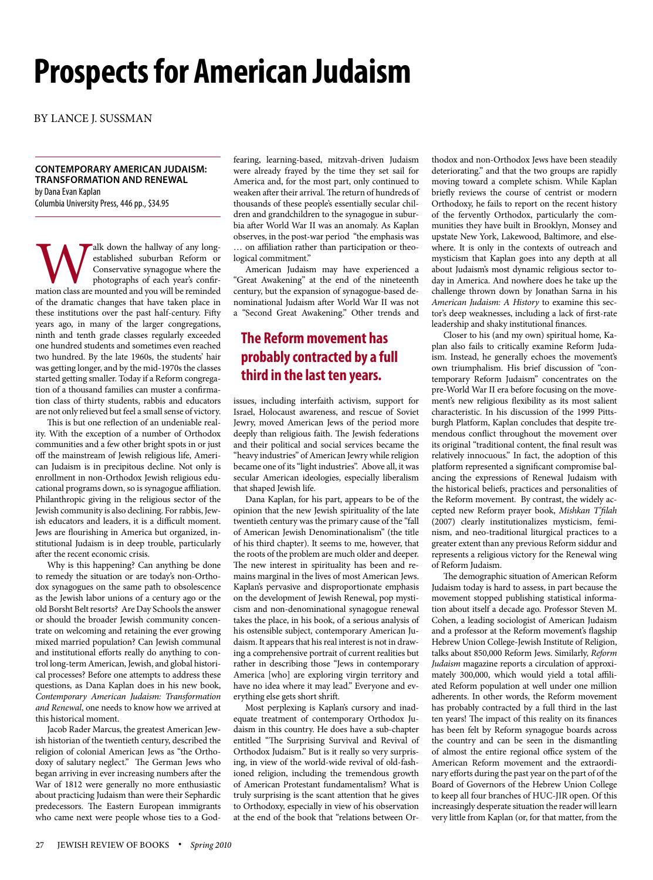# **Prospects for American Judaism**

By lance J. Sussman

#### **Contemporary American Judaism: Transformation and renewal**  by Dana Evan Kaplan

Columbia University Press, 446 pp., \$34.95

Walk down the hallway of any long-<br>
established suburban Reform or<br>
Conservative synagogue where the<br>
photographs of each year's confir-<br>
mation class are mounted and you will be reminded established suburban Reform or Conservative synagogue where the photographs of each year's confirof the dramatic changes that have taken place in these institutions over the past half-century. Fifty years ago, in many of the larger congregations, ninth and tenth grade classes regularly exceeded one hundred students and sometimes even reached two hundred. By the late 1960s, the students' hair was getting longer, and by the mid-1970s the classes started getting smaller. Today if a Reform congregation of a thousand families can muster a confirmation class of thirty students, rabbis and educators are not only relieved but feel a small sense of victory.

This is but one reflection of an undeniable reality. With the exception of a number of Orthodox communities and a few other bright spots in or just off the mainstream of Jewish religious life, American Judaism is in precipitous decline. Not only is enrollment in non-Orthodox Jewish religious educational programs down, so is synagogue affiliation. Philanthropic giving in the religious sector of the Jewish community is also declining. For rabbis, Jewish educators and leaders, it is a difficult moment. Jews are flourishing in America but organized, institutional Judaism is in deep trouble, particularly after the recent economic crisis.

Why is this happening? Can anything be done to remedy the situation or are today's non-Orthodox synagogues on the same path to obsolescence as the Jewish labor unions of a century ago or the old Borsht Belt resorts? Are Day Schools the answer or should the broader Jewish community concentrate on welcoming and retaining the ever growing mixed married population? Can Jewish communal and institutional efforts really do anything to control long-term American, Jewish, and global historical processes? Before one attempts to address these questions, as Dana Kaplan does in his new book, *Contemporary American Judaism: Transformation and Renewal*, one needs to know how we arrived at this historical moment.

Jacob Rader Marcus, the greatest American Jewish historian of the twentieth century, described the religion of colonial American Jews as "the Orthodoxy of salutary neglect." The German Jews who began arriving in ever increasing numbers after the War of 1812 were generally no more enthusiastic about practicing Judaism than were their Sephardic predecessors. The Eastern European immigrants who came next were people whose ties to a Godfearing, learning-based, mitzvah-driven Judaism were already frayed by the time they set sail for America and, for the most part, only continued to weaken after their arrival. The return of hundreds of thousands of these people's essentially secular children and grandchildren to the synagogue in suburbia after World War II was an anomaly. As Kaplan observes, in the post-war period "the emphasis was … on affiliation rather than participation or theological commitment."

American Judaism may have experienced a "Great Awakening" at the end of the nineteenth century, but the expansion of synagogue-based denominational Judaism after World War II was not a "Second Great Awakening." Other trends and

## **The Reform movement has probably contracted by a full third in the last ten years.**

issues, including interfaith activism, support for Israel, Holocaust awareness, and rescue of Soviet Jewry, moved American Jews of the period more deeply than religious faith. The Jewish federations and their political and social services became the "heavy industries" of American Jewry while religion became one of its "light industries". Above all, it was secular American ideologies, especially liberalism that shaped Jewish life.

Dana Kaplan, for his part, appears to be of the opinion that the new Jewish spirituality of the late twentieth century was the primary cause of the "fall of American Jewish Denominationalism" (the title of his third chapter). It seems to me, however, that the roots of the problem are much older and deeper. The new interest in spirituality has been and remains marginal in the lives of most American Jews. Kaplan's pervasive and disproportionate emphasis on the development of Jewish Renewal, pop mysticism and non-denominational synagogue renewal takes the place, in his book, of a serious analysis of his ostensible subject, contemporary American Judaism. It appears that his real interest is not in drawing a comprehensive portrait of current realities but rather in describing those "Jews in contemporary America [who] are exploring virgin territory and have no idea where it may lead." Everyone and everything else gets short shrift.

Most perplexing is Kaplan's cursory and inadequate treatment of contemporary Orthodox Judaism in this country. He does have a sub-chapter entitled "The Surprising Survival and Revival of Orthodox Judaism." But is it really so very surprising, in view of the world-wide revival of old-fashioned religion, including the tremendous growth of American Protestant fundamentalism? What is truly surprising is the scant attention that he gives to Orthodoxy, especially in view of his observation at the end of the book that "relations between Orthodox and non-Orthodox Jews have been steadily deteriorating." and that the two groups are rapidly moving toward a complete schism. While Kaplan briefly reviews the course of centrist or modern Orthodoxy, he fails to report on the recent history of the fervently Orthodox, particularly the communities they have built in Brooklyn, Monsey and upstate New York, Lakewood, Baltimore, and elsewhere. It is only in the contexts of outreach and mysticism that Kaplan goes into any depth at all about Judaism's most dynamic religious sector today in America. And nowhere does he take up the challenge thrown down by Jonathan Sarna in his *American Judaism: A History* to examine this sector's deep weaknesses, including a lack of first-rate leadership and shaky institutional finances.

Closer to his (and my own) spiritual home, Kaplan also fails to critically examine Reform Judaism. Instead, he generally echoes the movement's own triumphalism. His brief discussion of "contemporary Reform Judaism" concentrates on the pre-World War II era before focusing on the movement's new religious flexibility as its most salient characteristic. In his discussion of the 1999 Pittsburgh Platform, Kaplan concludes that despite tremendous conflict throughout the movement over its original "traditional content, the final result was relatively innocuous." In fact, the adoption of this platform represented a significant compromise balancing the expressions of Renewal Judaism with the historical beliefs, practices and personalities of the Reform movement. By contrast, the widely accepted new Reform prayer book, *Mishkan T'filah*  (2007) clearly institutionalizes mysticism, feminism, and neo-traditional liturgical practices to a greater extent than any previous Reform siddur and represents a religious victory for the Renewal wing of Reform Judaism.

The demographic situation of American Reform Judaism today is hard to assess, in part because the movement stopped publishing statistical information about itself a decade ago. Professor Steven M. Cohen, a leading sociologist of American Judaism and a professor at the Reform movement's flagship Hebrew Union College-Jewish Institute of Religion, talks about 850,000 Reform Jews. Similarly, *Reform Judaism* magazine reports a circulation of approximately 300,000, which would yield a total affiliated Reform population at well under one million adherents. In other words, the Reform movement has probably contracted by a full third in the last ten years! The impact of this reality on its finances has been felt by Reform synagogue boards across the country and can be seen in the dismantling of almost the entire regional office system of the American Reform movement and the extraordinary efforts during the past year on the part of of the Board of Governors of the Hebrew Union College to keep all four branches of HUC-JIR open. Of this increasingly desperate situation the reader will learn very little from Kaplan (or, for that matter, from the